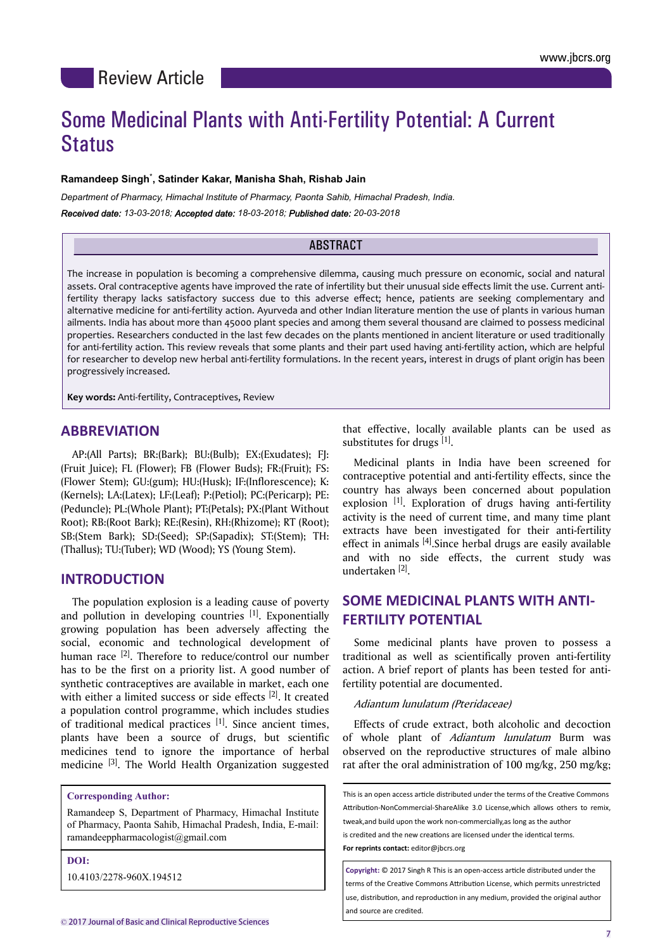# Some Medicinal Plants with Anti-Fertility Potential: A Current Status

#### **Ramandeep Singh**\* **, Satinder Kakar, Manisha Shah, Rishab Jain**

*Department of Pharmacy, Himachal Institute of Pharmacy, Paonta Sahib, Himachal Pradesh, India.*

*Received date: 13-03-2018; Accepted date: 18-03-2018; Published date: 20-03-2018*

# **ABSTRACT**

The increase in population is becoming a comprehensive dilemma, causing much pressure on economic, social and natural assets. Oral contraceptive agents have improved the rate of infertility but their unusual side effects limit the use. Current antifertility therapy lacks satisfactory success due to this adverse effect; hence, patients are seeking complementary and alternative medicine for anti-fertility action. Ayurveda and other Indian literature mention the use of plants in various human ailments. India has about more than 45000 plant species and among them several thousand are claimed to possess medicinal properties. Researchers conducted in the last few decades on the plants mentioned in ancient literature or used traditionally for anti-fertility action. This review reveals that some plants and their part used having anti-fertility action, which are helpful for researcher to develop new herbal anti-fertility formulations. In the recent years, interest in drugs of plant origin has been progressively increased.

**Key words:** Anti-fertility, Contraceptives, Review

# **ABBREVIATION**

AP:(All Parts); BR:(Bark); BU:(Bulb); EX:(Exudates); FJ: (Fruit Juice); FL (Flower); FB (Flower Buds); FR:(Fruit); FS: (Flower Stem); GU:(gum); HU:(Husk); IF:(Inflorescence); K: (Kernels); LA:(Latex); LF:(Leaf); P:(Petiol); PC:(Pericarp); PE: (Peduncle); PL:(Whole Plant); PT:(Petals); PX:(Plant Without Root); RB:(Root Bark); RE:(Resin), RH:(Rhizome); RT (Root); SB:(Stem Bark); SD:(Seed); SP:(Sapadix); ST:(Stem); TH: (Thallus); TU:(Tuber); WD (Wood); YS (Young Stem).

# **INTRODUCTION**

The population explosion is a leading cause of poverty and pollution in developing countries  $[1]$ . Exponentially growing population has been adversely affecting the social, economic and technological development of human race  $[2]$ . Therefore to reduce/control our number has to be the first on a priority list. A good number of synthetic contraceptives are available in market, each one with either a limited success or side effects [2]. It created a population control programme, which includes studies of traditional medical practices  $[1]$ . Since ancient times, plants have been a source of drugs, but scientific medicines tend to ignore the importance of herbal medicine [3]. The World Health Organization suggested

**Corresponding Author:**

Ramandeep S, Department of Pharmacy, Himachal Institute of Pharmacy, Paonta Sahib, Himachal Pradesh, India, E-mail: ramandeeppharmacologist@gmail.com

**DOI:**

10.4103/2278-960X.194512

that effective, locally available plants can be used as substitutes for drugs [1].

Medicinal plants in India have been screened for contraceptive potential and anti-fertility effects, since the country has always been concerned about population explosion  $[1]$ . Exploration of drugs having anti-fertility activity is the need of current time, and many time plant extracts have been investigated for their anti-fertility effect in animals  $[4]$ . Since herbal drugs are easily available and with no side effects, the current study was undertaken [2] .

# **SOME MEDICINAL PLANTS WITH ANTI-FERTILITY POTENTIAL**

Some medicinal plants have proven to possess a traditional as well as scientifically proven anti-fertility action. A brief report of plants has been tested for antifertility potential are documented.

#### Adiantum lunulatum (Pteridaceae)

Effects of crude extract, both alcoholic and decoction of whole plant of Adiantum lunulatum Burm was observed on the reproductive structures of male albino rat after the oral administration of 100 mg/kg, 250 mg/kg;

This is an open access article distributed under the terms of the Creative Commons Attribution-NonCommercial-ShareAlike 3.0 License,which allows others to remix, tweak,and build upon the work non-commercially,as long as the author

is credited and the new creations are licensed under the identical terms.

**For reprints contact:** editor@jbcrs.org

**Copyright: © 2017 Singh R This is an open-access article distributed under the** terms of the Creative Commons Attribution License, which permits unrestricted use, distribution, and reproduction in any medium, provided the original author and source are credited.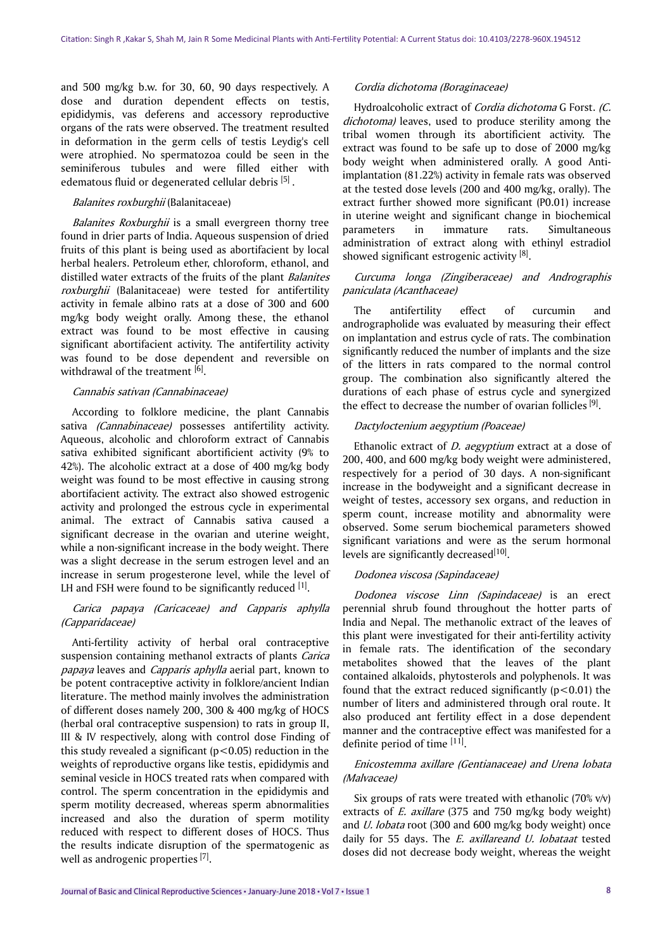and 500 mg/kg b.w. for 30, 60, 90 days respectively. A dose and duration dependent effects on testis, epididymis, vas deferens and accessory reproductive organs of the rats were observed. The treatment resulted in deformation in the germ cells of testis Leydig's cell were atrophied. No spermatozoa could be seen in the seminiferous tubules and were filled either with edematous fluid or degenerated cellular debris [5].

#### Balanites roxburghii (Balanitaceae)

Balanites Roxburghii is a small evergreen thorny tree found in drier parts of India. Aqueous suspension of dried fruits of this plant is being used as abortifacient by local herbal healers. Petroleum ether, chloroform, ethanol, and distilled water extracts of the fruits of the plant Balanites roxburghii (Balanitaceae) were tested for antifertility activity in female albino rats at a dose of 300 and 600 mg/kg body weight orally. Among these, the ethanol extract was found to be most effective in causing significant abortifacient activity. The antifertility activity was found to be dose dependent and reversible on withdrawal of the treatment [6].

#### Cannabis sativan (Cannabinaceae)

According to folklore medicine, the plant Cannabis sativa (Cannabinaceae) possesses antifertility activity. Aqueous, alcoholic and chloroform extract of Cannabis sativa exhibited significant abortificient activity (9% to 42%). The alcoholic extract at a dose of 400 mg/kg body weight was found to be most effective in causing strong abortifacient activity. The extract also showed estrogenic activity and prolonged the estrous cycle in experimental animal. The extract of Cannabis sativa caused a significant decrease in the ovarian and uterine weight, while a non-significant increase in the body weight. There was a slight decrease in the serum estrogen level and an increase in serum progesterone level, while the level of LH and FSH were found to be significantly reduced  $[1]$ .

## Carica papaya (Caricaceae) and Capparis aphylla (Capparidaceae)

Anti-fertility activity of herbal oral contraceptive suspension containing methanol extracts of plants Carica papaya leaves and Capparis aphylla aerial part, known to be potent contraceptive activity in folklore/ancient Indian literature. The method mainly involves the administration of different doses namely 200, 300 & 400 mg/kg of HOCS (herbal oral contraceptive suspension) to rats in group II, III & IV respectively, along with control dose Finding of this study revealed a significant ( $p$ <0.05) reduction in the weights of reproductive organs like testis, epididymis and seminal vesicle in HOCS treated rats when compared with control. The sperm concentration in the epididymis and sperm motility decreased, whereas sperm abnormalities increased and also the duration of sperm motility reduced with respect to different doses of HOCS. Thus the results indicate disruption of the spermatogenic as well as androgenic properties [7].

#### Cordia dichotoma (Boraginaceae)

Hydroalcoholic extract of *Cordia dichotoma* G Forst. (C. dichotoma) leaves, used to produce sterility among the tribal women through its abortificient activity. The extract was found to be safe up to dose of 2000 mg/kg body weight when administered orally. A good Antiimplantation (81.22%) activity in female rats was observed at the tested dose levels (200 and 400 mg/kg, orally). The extract further showed more significant (P0.01) increase in uterine weight and significant change in biochemical parameters in immature rats. Simultaneous administration of extract along with ethinyl estradiol showed significant estrogenic activity [8].

# Curcuma longa (Zingiberaceae) and Andrographis paniculata (Acanthaceae)

The antifertility effect of curcumin and andrographolide was evaluated by measuring their effect on implantation and estrus cycle of rats. The combination significantly reduced the number of implants and the size of the litters in rats compared to the normal control group. The combination also significantly altered the durations of each phase of estrus cycle and synergized the effect to decrease the number of ovarian follicles [9].

#### Dactyloctenium aegyptium (Poaceae)

Ethanolic extract of  $D$ . aegyptium extract at a dose of 200, 400, and 600 mg/kg body weight were administered, respectively for a period of 30 days. A non-significant increase in the bodyweight and a significant decrease in weight of testes, accessory sex organs, and reduction in sperm count, increase motility and abnormality were observed. Some serum biochemical parameters showed significant variations and were as the serum hormonal levels are significantly decreased<sup>[10]</sup>.

#### Dodonea viscosa (Sapindaceae)

Dodonea viscose Linn (Sapindaceae) is an erect perennial shrub found throughout the hotter parts of India and Nepal. The methanolic extract of the leaves of this plant were investigated for their anti-fertility activity in female rats. The identification of the secondary metabolites showed that the leaves of the plant contained alkaloids, phytosterols and polyphenols. It was found that the extract reduced significantly  $(p<0.01)$  the number of liters and administered through oral route. It also produced ant fertility effect in a dose dependent manner and the contraceptive effect was manifested for a definite period of time [11].

## Enicostemma axillare (Gentianaceae) and Urena lobata (Malvaceae)

Six groups of rats were treated with ethanolic (70% v/v) extracts of  $E$ . axillare (375 and 750 mg/kg body weight) and *U. lobata* root (300 and 600 mg/kg body weight) once daily for 55 days. The  $E$ . axillareand  $U$ . lobataat tested doses did not decrease body weight, whereas the weight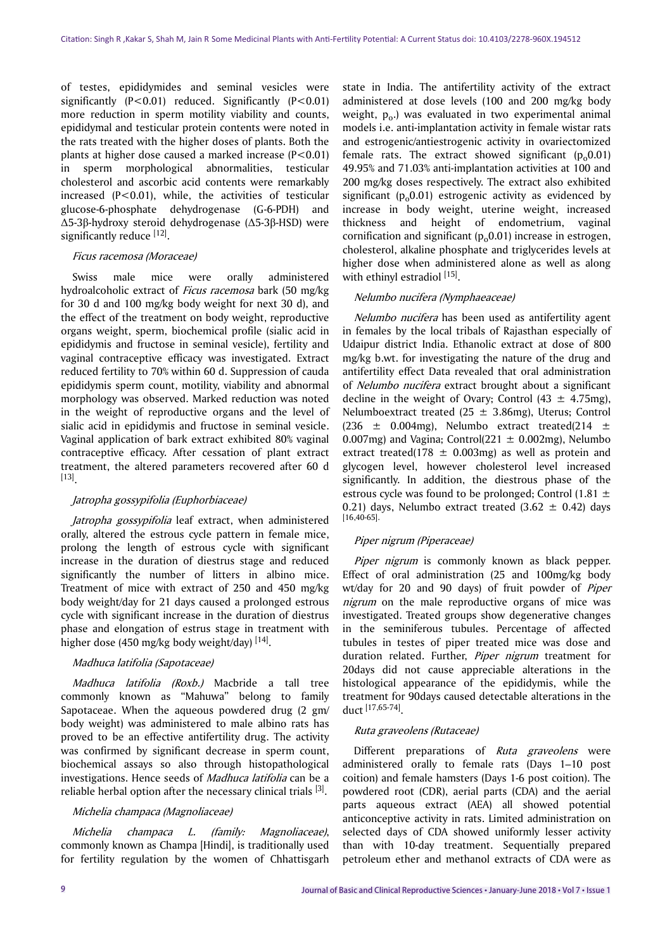of testes, epididymides and seminal vesicles were significantly  $(P<0.01)$  reduced. Significantly  $(P<0.01)$ more reduction in sperm motility viability and counts, epididymal and testicular protein contents were noted in the rats treated with the higher doses of plants. Both the plants at higher dose caused a marked increase  $(P<0.01)$ in sperm morphological abnormalities, testicular cholesterol and ascorbic acid contents were remarkably increased  $(P<0.01)$ , while, the activities of testicular glucose-6-phosphate dehydrogenase (G-6-PDH) and Δ5-3β-hydroxy steroid dehydrogenase (Δ5-3β-HSD) were significantly reduce [12].

## Ficus racemosa (Moraceae)

Swiss male mice were orally administered hydroalcoholic extract of *Ficus racemosa* bark (50 mg/kg for 30 d and 100 mg/kg body weight for next 30 d), and the effect of the treatment on body weight, reproductive organs weight, sperm, biochemical profile (sialic acid in epididymis and fructose in seminal vesicle), fertility and vaginal contraceptive efficacy was investigated. Extract reduced fertility to 70% within 60 d. Suppression of cauda epididymis sperm count, motility, viability and abnormal morphology was observed. Marked reduction was noted in the weight of reproductive organs and the level of sialic acid in epididymis and fructose in seminal vesicle. Vaginal application of bark extract exhibited 80% vaginal contraceptive efficacy. After cessation of plant extract treatment, the altered parameters recovered after 60 d [13] .

# Jatropha gossypifolia (Euphorbiaceae)

Jatropha gossypifolia leaf extract, when administered orally, altered the estrous cycle pattern in female mice, prolong the length of estrous cycle with significant increase in the duration of diestrus stage and reduced significantly the number of litters in albino mice. Treatment of mice with extract of 250 and 450 mg/kg body weight/day for 21 days caused a prolonged estrous cycle with significant increase in the duration of diestrus phase and elongation of estrus stage in treatment with higher dose (450 mg/kg body weight/day) [14].

# Madhuca latifolia (Sapotaceae)

Madhuca latifolia (Roxb.) Macbride a tall tree commonly known as "Mahuwa" belong to family Sapotaceae. When the aqueous powdered drug (2 gm/ body weight) was administered to male albino rats has proved to be an effective antifertility drug. The activity was confirmed by significant decrease in sperm count, biochemical assays so also through histopathological investigations. Hence seeds of Madhuca latifolia can be a reliable herbal option after the necessary clinical trials  $[3]$ .

#### Michelia champaca (Magnoliaceae)

Michelia champaca L. (family: Magnoliaceae), commonly known as Champa [Hindi], is traditionally used for fertility regulation by the women of Chhattisgarh state in India. The antifertility activity of the extract administered at dose levels (100 and 200 mg/kg body weight,  $p_0$ .) was evaluated in two experimental animal models i.e. anti-implantation activity in female wistar rats and estrogenic/antiestrogenic activity in ovariectomized female rats. The extract showed significant  $(p_0, 0.01)$ 49.95% and 71.03% anti-implantation activities at 100 and 200 mg/kg doses respectively. The extract also exhibited significant  $(p_0, 0.01)$  estrogenic activity as evidenced by increase in body weight, uterine weight, increased thickness and height of endometrium, vaginal cornification and significant  $(p_0 0.01)$  increase in estrogen, cholesterol, alkaline phosphate and triglycerides levels at higher dose when administered alone as well as along with ethinyl estradiol [15].

## Nelumbo nucifera (Nymphaeaceae)

Nelumbo nucifera has been used as antifertility agent in females by the local tribals of Rajasthan especially of Udaipur district India. Ethanolic extract at dose of 800 mg/kg b.wt. for investigating the nature of the drug and antifertility effect Data revealed that oral administration of Nelumbo nucifera extract brought about a significant decline in the weight of Ovary; Control  $(43 \pm 4.75$ mg), Nelumboextract treated (25  $\pm$  3.86mg), Uterus; Control (236  $\pm$  0.004mg), Nelumbo extract treated(214  $\pm$ 0.007mg) and Vagina; Control( $221 \pm 0.002$ mg), Nelumbo extract treated(178  $\pm$  0.003mg) as well as protein and glycogen level, however cholesterol level increased significantly. In addition, the diestrous phase of the estrous cycle was found to be prolonged; Control  $(1.81 \pm$ 0.21) days, Nelumbo extract treated  $(3.62 \pm 0.42)$  days  $[16, 40-65]$ .

# Piper nigrum (Piperaceae)

Piper nigrum is commonly known as black pepper. Effect of oral administration (25 and 100mg/kg body wt/day for 20 and 90 days) of fruit powder of Piper nigrum on the male reproductive organs of mice was investigated. Treated groups show degenerative changes in the seminiferous tubules. Percentage of affected tubules in testes of piper treated mice was dose and duration related. Further, Piper nigrum treatment for 20days did not cause appreciable alterations in the histological appearance of the epididymis, while the treatment for 90days caused detectable alterations in the duct [17,65-74] .

#### Ruta graveolens (Rutaceae)

Different preparations of Ruta graveolens were administered orally to female rats (Days 1–10 post coition) and female hamsters (Days 1-6 post coition). The powdered root (CDR), aerial parts (CDA) and the aerial parts aqueous extract (AEA) all showed potential anticonceptive activity in rats. Limited administration on selected days of CDA showed uniformly lesser activity than with 10-day treatment. Sequentially prepared petroleum ether and methanol extracts of CDA were as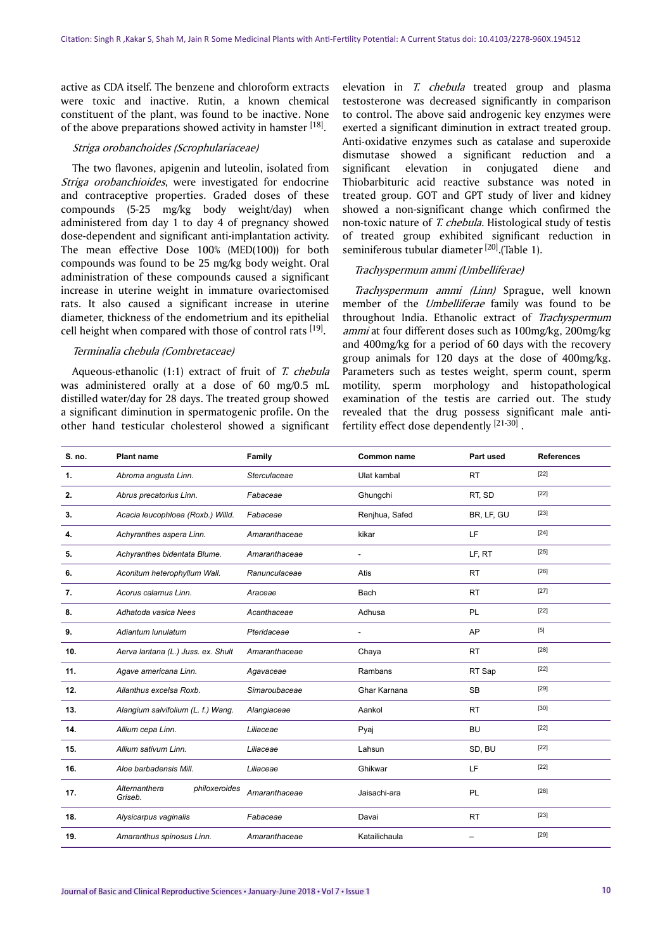active as CDA itself. The benzene and chloroform extracts were toxic and inactive. Rutin, a known chemical constituent of the plant, was found to be inactive. None of the above preparations showed activity in hamster [18].

#### Striga orobanchoides (Scrophulariaceae)

The two flavones, apigenin and luteolin, isolated from Striga orobanchioides, were investigated for endocrine and contraceptive properties. Graded doses of these compounds (5-25 mg/kg body weight/day) when administered from day 1 to day 4 of pregnancy showed dose-dependent and significant anti-implantation activity. The mean effective Dose 100% (MED(100)) for both compounds was found to be 25 mg/kg body weight. Oral administration of these compounds caused a significant increase in uterine weight in immature ovariectomised rats. It also caused a significant increase in uterine diameter, thickness of the endometrium and its epithelial cell height when compared with those of control rats [19].

#### Terminalia chebula (Combretaceae)

Aqueous-ethanolic (1:1) extract of fruit of T. chebula was administered orally at a dose of 60 mg/0.5 mL distilled water/day for 28 days. The treated group showed a significant diminution in spermatogenic profile. On the other hand testicular cholesterol showed a significant

elevation in T. chebula treated group and plasma testosterone was decreased significantly in comparison to control. The above said androgenic key enzymes were exerted a significant diminution in extract treated group. Anti-oxidative enzymes such as catalase and superoxide dismutase showed a significant reduction and a significant elevation in conjugated diene and Thiobarbituric acid reactive substance was noted in treated group. GOT and GPT study of liver and kidney showed a non-significant change which confirmed the non-toxic nature of T. chebula. Histological study of testis of treated group exhibited significant reduction in seminiferous tubular diameter [20]. (Table 1).

#### Trachyspermum ammi (Umbelliferae)

Trachyspermum ammi (Linn) Sprague, well known member of the *Umbelliferae* family was found to be throughout India. Ethanolic extract of Trachyspermum ammi at four different doses such as 100mg/kg, 200mg/kg and 400mg/kg for a period of 60 days with the recovery group animals for 120 days at the dose of 400mg/kg. Parameters such as testes weight, sperm count, sperm motility, sperm morphology and histopathological examination of the testis are carried out. The study revealed that the drug possess significant male antifertility effect dose dependently [21-30].

| S. no.         | <b>Plant name</b>                         | Family        | <b>Common name</b>       | Part used  | <b>References</b> |
|----------------|-------------------------------------------|---------------|--------------------------|------------|-------------------|
| $\mathbf{1}$ . | Abroma angusta Linn.                      | Sterculaceae  | Ulat kambal              | <b>RT</b>  | $[22]$            |
| 2.             | Abrus precatorius Linn.                   | Fabaceae      | Ghungchi                 | RT, SD     | $[22]$            |
| 3.             | Acacia leucophloea (Roxb.) Willd.         | Fabaceae      | Renjhua, Safed           | BR, LF, GU | $[23]$            |
| 4.             | Achyranthes aspera Linn.                  | Amaranthaceae | kikar                    | LF         | $[24]$            |
| 5.             | Achyranthes bidentata Blume.              | Amaranthaceae | L,                       | LF, RT     | $[25]$            |
| 6.             | Aconitum heterophyllum Wall.              | Ranunculaceae | Atis                     | <b>RT</b>  | $[26]$            |
| 7.             | Acorus calamus Linn.                      | Araceae       | Bach                     | <b>RT</b>  | $[27]$            |
| 8.             | Adhatoda vasica Nees                      | Acanthaceae   | Adhusa                   | <b>PL</b>  | $[22]$            |
| 9.             | Adiantum lunulatum                        | Pteridaceae   | $\overline{\phantom{a}}$ | AP         | $[5]$             |
| 10.            | Aerva lantana (L.) Juss. ex. Shult        | Amaranthaceae | Chaya                    | <b>RT</b>  | $[28]$            |
| 11.            | Agave americana Linn.                     | Agavaceae     | Rambans                  | RT Sap     | $[22]$            |
| 12.            | Ailanthus excelsa Roxb.                   | Simaroubaceae | Ghar Karnana             | <b>SB</b>  | $[29]$            |
| 13.            | Alangium salvifolium (L. f.) Wang.        | Alangiaceae   | Aankol                   | <b>RT</b>  | $[30]$            |
| 14.            | Allium cepa Linn.                         | Liliaceae     | Pyaj                     | <b>BU</b>  | $[22]$            |
| 15.            | Allium sativum Linn.                      | Liliaceae     | Lahsun                   | SD, BU     | $[22]$            |
| 16.            | Aloe barbadensis Mill.                    | Liliaceae     | Ghikwar                  | LF         | $[22]$            |
| 17.            | Alternanthera<br>philoxeroides<br>Griseb. | Amaranthaceae | Jaisachi-ara             | PL         | $[28]$            |
| 18.            | Alysicarpus vaginalis                     | Fabaceae      | Davai                    | <b>RT</b>  | $[23]$            |
| 19.            | Amaranthus spinosus Linn.                 | Amaranthaceae | Katailichaula            |            | $[29]$            |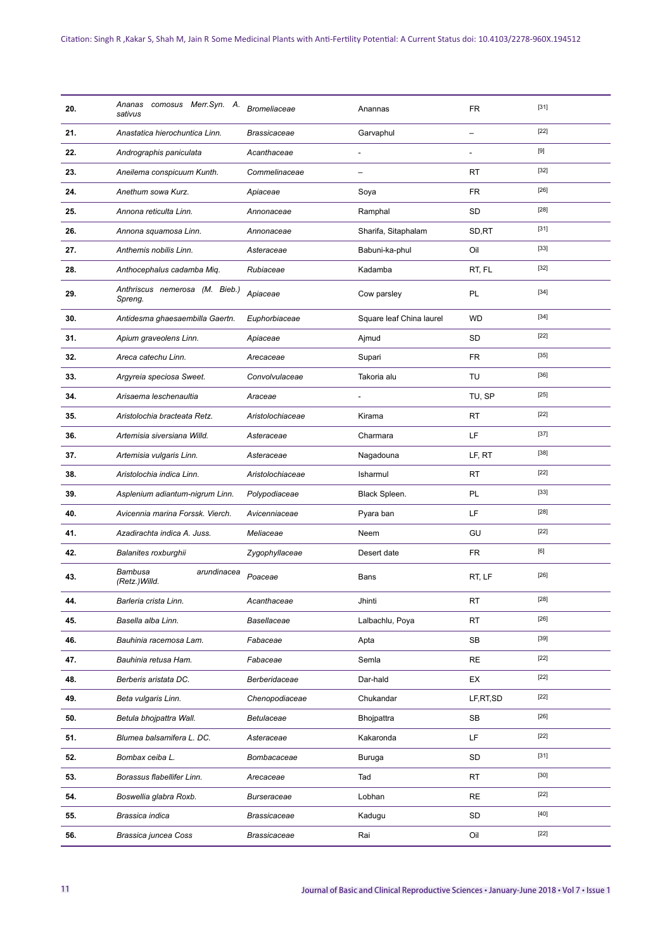| 20. | Ananas comosus Merr.Syn. A.<br>sativus    | <b>Bromeliaceae</b> | Anannas                  | <b>FR</b>                | $[31]$ |
|-----|-------------------------------------------|---------------------|--------------------------|--------------------------|--------|
| 21. | Anastatica hierochuntica Linn.            | <b>Brassicaceae</b> | Garvaphul                | $\overline{\phantom{0}}$ | $[22]$ |
| 22. | Andrographis paniculata                   | Acanthaceae         | $\overline{a}$           | $\overline{a}$           | [9]    |
| 23. | Aneilema conspicuum Kunth.                | Commelinaceae       | -                        | <b>RT</b>                | $[32]$ |
| 24. | Anethum sowa Kurz.                        | Apiaceae            | Soya                     | <b>FR</b>                | $[26]$ |
| 25. | Annona reticulta Linn.                    | Annonaceae          | Ramphal                  | SD                       | $[28]$ |
| 26. | Annona squamosa Linn.                     | Annonaceae          | Sharifa, Sitaphalam      | SD,RT                    | $[31]$ |
| 27. | Anthemis nobilis Linn.                    | Asteraceae          | Babuni-ka-phul           | Oil                      | $[33]$ |
| 28. | Anthocephalus cadamba Miq.                | Rubiaceae           | Kadamba                  | RT, FL                   | $[32]$ |
| 29. | Anthriscus nemerosa (M. Bieb.)<br>Spreng. | Apiaceae            | Cow parsley              | <b>PL</b>                | $[34]$ |
| 30. | Antidesma ghaesaembilla Gaertn.           | Euphorbiaceae       | Square leaf China laurel | <b>WD</b>                | $[34]$ |
| 31. | Apium graveolens Linn.                    | Apiaceae            | Ajmud                    | <b>SD</b>                | $[22]$ |
| 32. | Areca catechu Linn.                       | Arecaceae           | Supari                   | <b>FR</b>                | $[35]$ |
| 33. | Argyreia speciosa Sweet.                  | Convolvulaceae      | Takoria alu              | TU                       | $[36]$ |
| 34. | Arisaema leschenaultia                    | Araceae             | ÷,                       | TU, SP                   | $[25]$ |
| 35. | Aristolochia bracteata Retz.              | Aristolochiaceae    | Kirama                   | <b>RT</b>                | $[22]$ |
| 36. | Artemisia siversiana Willd.               | Asteraceae          | Charmara                 | LF.                      | $[37]$ |
| 37. | Artemisia vulgaris Linn.                  | Asteraceae          | Nagadouna                | LF, RT                   | $[38]$ |
| 38. | Aristolochia indica Linn.                 | Aristolochiaceae    | Isharmul                 | <b>RT</b>                | $[22]$ |
| 39. | Asplenium adiantum-nigrum Linn.           | Polypodiaceae       | Black Spleen.            | PL                       | $[33]$ |
| 40. | Avicennia marina Forssk. Vierch.          | Avicenniaceae       | Pyara ban                | LF.                      | $[28]$ |
| 41. | Azadirachta indica A. Juss.               | Meliaceae           | Neem                     | GU                       | $[22]$ |
| 42. | Balanites roxburghii                      | Zygophyllaceae      | Desert date              | <b>FR</b>                | [6]    |
| 43. | Bambusa<br>arundinacea<br>(Retz.) Willd.  | Poaceae             | Bans                     | RT, LF                   | $[26]$ |
| 44. | Barleria crista Linn.                     | Acanthaceae         | Jhinti                   | RT                       | $[28]$ |
| 45. | Basella alba Linn.                        | Basellaceae         | Lalbachlu, Poya          | RT                       | $[26]$ |
| 46. | Bauhinia racemosa Lam.                    | Fabaceae            | Apta                     | SB                       | $[39]$ |
| 47. | Bauhinia retusa Ham.                      | Fabaceae            | Semla                    | RE                       | $[22]$ |
| 48. | Berberis aristata DC.                     | Berberidaceae       | Dar-hald                 | EX                       | $[22]$ |
| 49. | Beta vulgaris Linn.                       | Chenopodiaceae      | Chukandar                | LF, RT, SD               | $[22]$ |
| 50. | Betula bhoipattra Wall.                   | Betulaceae          | Bhojpattra               | SB                       | $[26]$ |
| 51. | Blumea balsamifera L. DC.                 | Asteraceae          | Kakaronda                | LF.                      | $[22]$ |
| 52. | Bombax ceiba L.                           | Bombacaceae         | Buruga                   | SD                       | $[31]$ |
| 53. | Borassus flabellifer Linn.                | Arecaceae           | Tad                      | <b>RT</b>                | $[30]$ |
| 54. | Boswellia glabra Roxb.                    | Burseraceae         | Lobhan                   | $\sf RE$                 | $[22]$ |
| 55. | Brassica indica                           | Brassicaceae        | Kadugu                   | SD                       | $[40]$ |
| 56. | Brassica juncea Coss                      | Brassicaceae        | Rai                      | Oil                      | $[22]$ |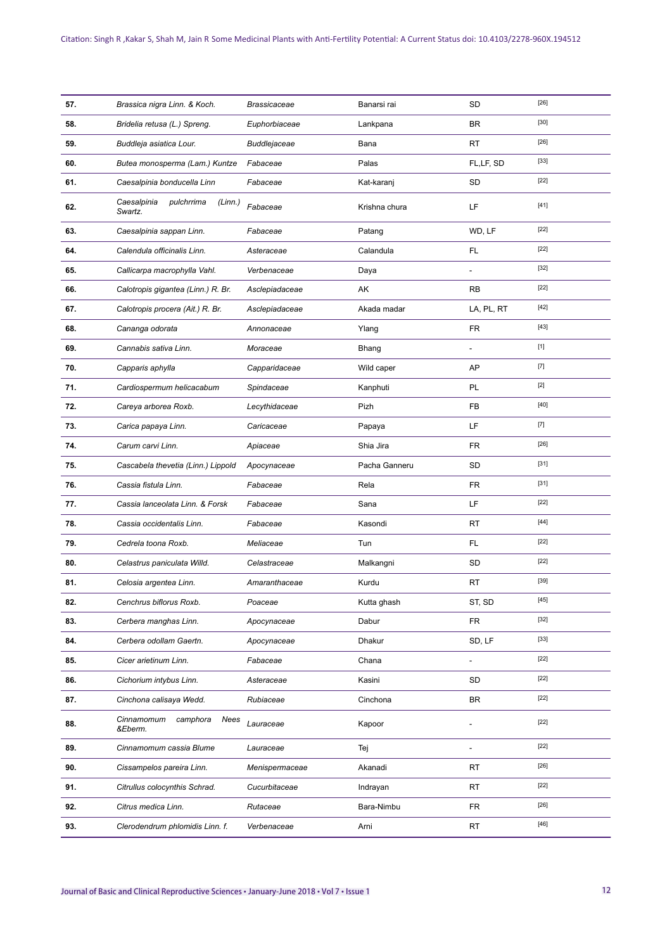| 57. | Brassica nigra Linn. & Koch.                    | <b>Brassicaceae</b> | Banarsi rai   | SD             | $[26]$ |
|-----|-------------------------------------------------|---------------------|---------------|----------------|--------|
| 58. | Bridelia retusa (L.) Spreng.                    | Euphorbiaceae       | Lankpana      | <b>BR</b>      | $[30]$ |
| 59. | Buddleja asiatica Lour.                         | Buddlejaceae        | Bana          | <b>RT</b>      | $[26]$ |
| 60. | Butea monosperma (Lam.) Kuntze                  | Fabaceae            | Palas         | FL,LF, SD      | $[33]$ |
| 61. | Caesalpinia bonducella Linn                     | Fabaceae            | Kat-karanj    | SD             | $[22]$ |
| 62. | Caesalpinia<br>pulchrrima<br>(Linn.)<br>Swartz. | Fabaceae            | Krishna chura | LF             | $[41]$ |
| 63. | Caesalpinia sappan Linn.                        | Fabaceae            | Patang        | WD, LF         | $[22]$ |
| 64. | Calendula officinalis Linn.                     | Asteraceae          | Calandula     | FL.            | $[22]$ |
| 65. | Callicarpa macrophylla Vahl.                    | Verbenaceae         | Daya          |                | $[32]$ |
| 66. | Calotropis gigantea (Linn.) R. Br.              | Asclepiadaceae      | AK            | <b>RB</b>      | $[22]$ |
| 67. | Calotropis procera (Ait.) R. Br.                | Asclepiadaceae      | Akada madar   | LA, PL, RT     | $[42]$ |
| 68. | Cananga odorata                                 | Annonaceae          | Ylang         | FR.            | $[43]$ |
| 69. | Cannabis sativa Linn.                           | Moraceae            | Bhang         |                | $[1]$  |
| 70. | Capparis aphylla                                | Capparidaceae       | Wild caper    | AP             | $[7]$  |
| 71. | Cardiospermum helicacabum                       | Spindaceae          | Kanphuti      | PL             | $[2]$  |
| 72. | Careya arborea Roxb.                            | Lecythidaceae       | Pizh          | FB             | $[40]$ |
| 73. | Carica papaya Linn.                             | Caricaceae          | Papaya        | LF             | $[7]$  |
| 74. | Carum carvi Linn.                               | Apiaceae            | Shia Jira     | FR.            | $[26]$ |
| 75. | Cascabela thevetia (Linn.) Lippold              | Apocynaceae         | Pacha Ganneru | SD             | $[31]$ |
| 76. | Cassia fistula Linn.                            | Fabaceae            | Rela          | FR.            | $[31]$ |
| 77. | Cassia lanceolata Linn. & Forsk                 | Fabaceae            | Sana          | LF             | $[22]$ |
| 78. | Cassia occidentalis Linn.                       | Fabaceae            | Kasondi       | <b>RT</b>      | $[44]$ |
| 79. | Cedrela toona Roxb.                             | Meliaceae           | Tun           | FL             | $[22]$ |
| 80. | Celastrus paniculata Willd.                     | Celastraceae        | Malkangni     | <b>SD</b>      | $[22]$ |
| 81. | Celosia argentea Linn.                          | Amaranthaceae       | Kurdu         | RT             | $[39]$ |
| 82. | Cenchrus biflorus Roxb.                         | Poaceae             | Kutta ghash   | ST, SD         | [45]   |
| 83. | Cerbera manghas Linn.                           | Apocynaceae         | Dabur         | FR             | $[32]$ |
| 84. | Cerbera odollam Gaertn.                         | Apocynaceae         | Dhakur        | SD, LF         | $[33]$ |
| 85. | Cicer arietinum Linn.                           | Fabaceae            | Chana         | $\overline{a}$ | $[22]$ |
| 86. | Cichorium intybus Linn.                         | Asteraceae          | Kasini        | SD             | $[22]$ |
| 87. | Cinchona calisaya Wedd.                         | Rubiaceae           | Cinchona      | BR             | $[22]$ |
| 88. | Cinnamomum<br>camphora<br>Nees<br>&Eberm.       | Lauraceae           | Kapoor        |                | $[22]$ |
| 89. | Cinnamomum cassia Blume                         | Lauraceae           | Tej           | L.             | $[22]$ |
| 90. | Cissampelos pareira Linn.                       | Menispermaceae      | Akanadi       | <b>RT</b>      | [26]   |
| 91. | Citrullus colocynthis Schrad.                   | Cucurbitaceae       | Indrayan      | RT             | $[22]$ |
| 92. | Citrus medica Linn.                             | Rutaceae            | Bara-Nimbu    | <b>FR</b>      | $[26]$ |
| 93. | Clerodendrum phlomidis Linn. f.                 | Verbenaceae         | Arni          | RT             | [46]   |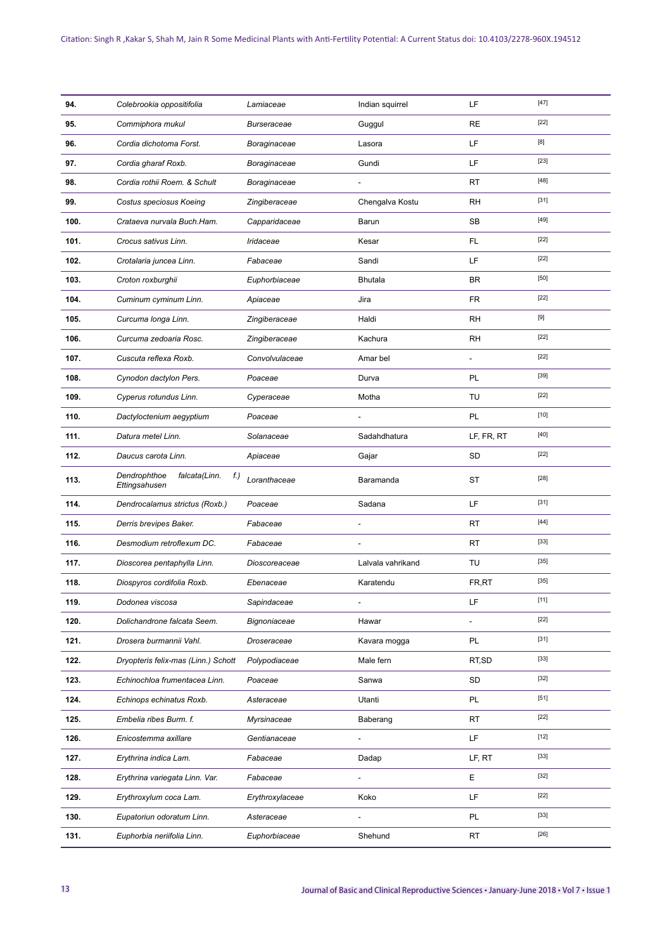| 94.  | Colebrookia oppositifolia                             | Lamiaceae          | Indian squirrel              | LF                       | $[47]$ |
|------|-------------------------------------------------------|--------------------|------------------------------|--------------------------|--------|
| 95.  | Commiphora mukul                                      | <b>Burseraceae</b> | Guggul                       | <b>RE</b>                | $[22]$ |
| 96.  | Cordia dichotoma Forst.                               | Boraginaceae       | Lasora                       | LF.                      | [8]    |
| 97.  | Cordia gharaf Roxb.                                   | Boraginaceae       | Gundi                        | LF.                      | $[23]$ |
| 98.  | Cordia rothii Roem. & Schult                          | Boraginaceae       | L,                           | <b>RT</b>                | $[48]$ |
| 99.  | Costus speciosus Koeing                               | Zingiberaceae      | Chengalva Kostu              | <b>RH</b>                | $[31]$ |
| 100. | Crataeva nurvala Buch.Ham.                            | Capparidaceae      | Barun                        | <b>SB</b>                | $[49]$ |
| 101. | Crocus sativus Linn.                                  | Iridaceae          | Kesar                        | FL.                      | $[22]$ |
| 102. | Crotalaria juncea Linn.                               | Fabaceae           | Sandi                        | LF                       | $[22]$ |
| 103. | Croton roxburghii                                     | Euphorbiaceae      | <b>Bhutala</b>               | <b>BR</b>                | $[50]$ |
| 104. | Cuminum cyminum Linn.                                 | Apiaceae           | Jira                         | <b>FR</b>                | $[22]$ |
| 105. | Curcuma longa Linn.                                   | Zingiberaceae      | Haldi                        | <b>RH</b>                | [9]    |
| 106. | Curcuma zedoaria Rosc.                                | Zingiberaceae      | Kachura                      | <b>RH</b>                | $[22]$ |
| 107. | Cuscuta reflexa Roxb.                                 | Convolvulaceae     | Amar bel                     |                          | $[22]$ |
| 108. | Cynodon dactylon Pers.                                | Poaceae            | Durva                        | PL                       | $[39]$ |
| 109. | Cyperus rotundus Linn.                                | Cyperaceae         | Motha                        | TU                       | $[22]$ |
| 110. | Dactyloctenium aegyptium                              | Poaceae            |                              | PL                       | $[10]$ |
| 111. | Datura metel Linn.                                    | Solanaceae         | Sadahdhatura                 | LF, FR, RT               | $[40]$ |
| 112. | Daucus carota Linn.                                   | Apiaceae           | Gajar                        | <b>SD</b>                | $[22]$ |
| 113. | Dendrophthoe<br>falcata(Linn.<br>f.)<br>Ettingsahusen | Loranthaceae       | Baramanda                    | <b>ST</b>                | $[28]$ |
| 114. | Dendrocalamus strictus (Roxb.)                        | Poaceae            | Sadana                       | LF                       | $[31]$ |
| 115. | Derris brevipes Baker.                                | Fabaceae           | ÷,                           | <b>RT</b>                | $[44]$ |
| 116. | Desmodium retroflexum DC.                             | Fabaceae           | $\qquad \qquad \blacksquare$ | <b>RT</b>                | $[33]$ |
| 117. | Dioscorea pentaphylla Linn.                           | Dioscoreaceae      | Lalvala vahrikand            | TU                       | $[35]$ |
| 118. | Diospyros cordifolia Roxb.                            | Ebenaceae          | Karatendu                    | FR,RT                    | $[35]$ |
| 119. | Dodonea viscosa                                       | Sapindaceae        |                              | LF                       | $[11]$ |
| 120. | Dolichandrone falcata Seem.                           | Bignoniaceae       | Hawar                        | $\overline{\phantom{a}}$ | $[22]$ |
| 121. | Drosera burmannii Vahl.                               | Droseraceae        | Kavara mogga                 | PL                       | $[31]$ |
| 122. | Dryopteris felix-mas (Linn.) Schott                   | Polypodiaceae      | Male fern                    | RT, SD                   | $[33]$ |
| 123. | Echinochloa frumentacea Linn.                         | Poaceae            | Sanwa                        | SD                       | $[32]$ |
| 124. | Echinops echinatus Roxb.                              | Asteraceae         | Utanti                       | PL                       | $[51]$ |
| 125. | Embelia ribes Burm. f.                                | Myrsinaceae        | Baberang                     | RT                       | $[22]$ |
| 126. | Enicostemma axillare                                  | Gentianaceae       | $\overline{\phantom{m}}$     | LF.                      | $[12]$ |
| 127. | Erythrina indica Lam.                                 | Fabaceae           | Dadap                        | LF, RT                   | $[33]$ |
| 128. | Erythrina variegata Linn. Var.                        | Fabaceae           | $\overline{a}$               | E                        | $[32]$ |
| 129. | Erythroxylum coca Lam.                                | Erythroxylaceae    | Koko                         | LF.                      | $[22]$ |
|      |                                                       |                    |                              |                          |        |
| 130. | Eupatoriun odoratum Linn.                             | Asteraceae         |                              | PL                       | $[33]$ |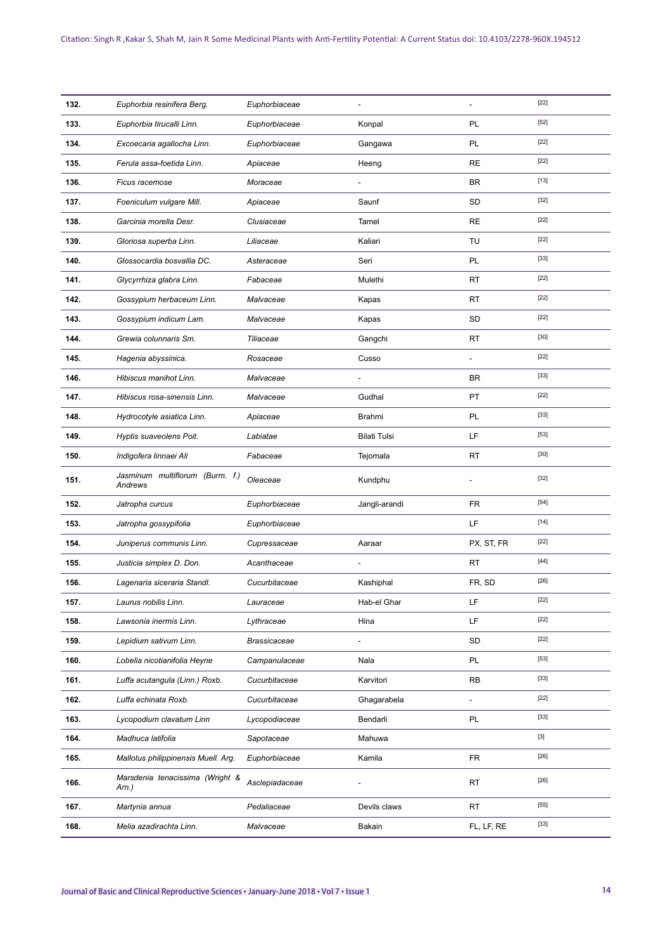| 132. | Euphorbia resinifera Berg.                 | Euphorbiaceae       | $\overline{a}$           | $\overline{a}$ | $[22]$ |
|------|--------------------------------------------|---------------------|--------------------------|----------------|--------|
| 133. | Euphorbia tirucalli Linn.                  | Euphorbiaceae       | Konpal                   | PL             | $[52]$ |
| 134. | Excoecaria agallocha Linn.                 | Euphorbiaceae       | Gangawa                  | PL             | $[22]$ |
| 135. | Ferula assa-foetida Linn.                  | Apiaceae            | Heeng                    | <b>RE</b>      | $[22]$ |
| 136. | Ficus racemose                             | Moraceae            |                          | <b>BR</b>      | $[13]$ |
| 137. | Foeniculum vulgare Mill.                   | Apiaceae            | Saunf                    | SD             | $[32]$ |
| 138. | Garcinia morella Desr.                     | Clusiaceae          | Tamel                    | <b>RE</b>      | $[22]$ |
| 139. | Gloriosa superba Linn.                     | Liliaceae           | Kaliari                  | TU             | $[22]$ |
| 140. | Glossocardia bosvallia DC.                 | Asteraceae          | Seri                     | PL             | $[33]$ |
| 141. | Glycyrrhiza glabra Linn.                   | Fabaceae            | Mulethi                  | <b>RT</b>      | $[22]$ |
| 142. | Gossypium herbaceum Linn.                  | Malvaceae           | Kapas                    | RT             | $[22]$ |
| 143. | Gossypium indicum Lam.                     | Malvaceae           | Kapas                    | SD             | $[22]$ |
| 144. | Grewia colunnaris Sm.                      | Tiliaceae           | Gangchi                  | RT             | $[30]$ |
| 145. | Hagenia abyssinica.                        | Rosaceae            | Cusso                    |                | $[22]$ |
| 146. | Hibiscus manihot Linn.                     | Malvaceae           | ÷,                       | <b>BR</b>      | $[33]$ |
| 147. | Hibiscus rosa-sinensis Linn.               | Malvaceae           | Gudhal                   | PT             | $[22]$ |
| 148. | Hydrocotyle asiatica Linn.                 | Apiaceae            | Brahmi                   | PL             | $[33]$ |
| 149. | Hyptis suaveolens Poit.                    | Labiatae            | <b>Bilati Tulsi</b>      | LF.            | $[53]$ |
| 150. | Indigofera linnaei Ali                     | Fabaceae            | Tejomala                 | <b>RT</b>      | $[30]$ |
| 151. | Jasminum multiflorum (Burm. f.)<br>Andrews | Oleaceae            | Kundphu                  |                | $[32]$ |
| 152. | Jatropha curcus                            | Euphorbiaceae       | Jangli-arandi            | <b>FR</b>      | $[54]$ |
| 153. | Jatropha gossypifolia                      | Euphorbiaceae       |                          | LF             | $[14]$ |
| 154. | Juniperus communis Linn.                   | Cupressaceae        | Aaraar                   | PX, ST, FR     | $[22]$ |
| 155. | Justicia simplex D. Don.                   | Acanthaceae         | $\overline{\phantom{a}}$ | <b>RT</b>      | $[44]$ |
| 156. | Lagenaria siceraria Standl.                | Cucurbitaceae       | Kashiphal                | FR, SD         | $[26]$ |
| 157. | Laurus nobilis Linn.                       | Lauraceae           | Hab-el Ghar              | LF             | $[22]$ |
| 158. | Lawsonia inermis Linn.                     | Lythraceae          | Hina                     | LF             | $[22]$ |
| 159. | Lepidium sativum Linn.                     | <b>Brassicaceae</b> | $\blacksquare$           | SD             | $[22]$ |
| 160. | Lobelia nicotianifolia Heyne               | Campanulaceae       | Nala                     | PL             | $[53]$ |
| 161. | Luffa acutangula (Linn.) Roxb.             | Cucurbitaceae       | Karvitori                | <b>RB</b>      | $[33]$ |
| 162. | Luffa echinata Roxb.                       | Cucurbitaceae       | Ghagarabela              | $\frac{1}{2}$  | $[22]$ |
| 163. | Lycopodium clavatum Linn                   | Lycopodiaceae       | Bendarli                 | PL             | $[33]$ |
| 164. | Madhuca latifolia                          | Sapotaceae          | Mahuwa                   |                | $[3]$  |
| 165. | Mallotus philippinensis Muell. Arg.        | Euphorbiaceae       | Kamila                   | <b>FR</b>      | $[26]$ |
| 166. | Marsdenia tenacissima (Wright &<br>Arn.)   | Asclepiadaceae      |                          | <b>RT</b>      | $[26]$ |
| 167. | Martynia annua                             | Pedaliaceae         | Devils claws             | RT             | $[55]$ |
| 168. | Melia azadirachta Linn.                    | Malvaceae           | Bakain                   | FL, LF, RE     | $[33]$ |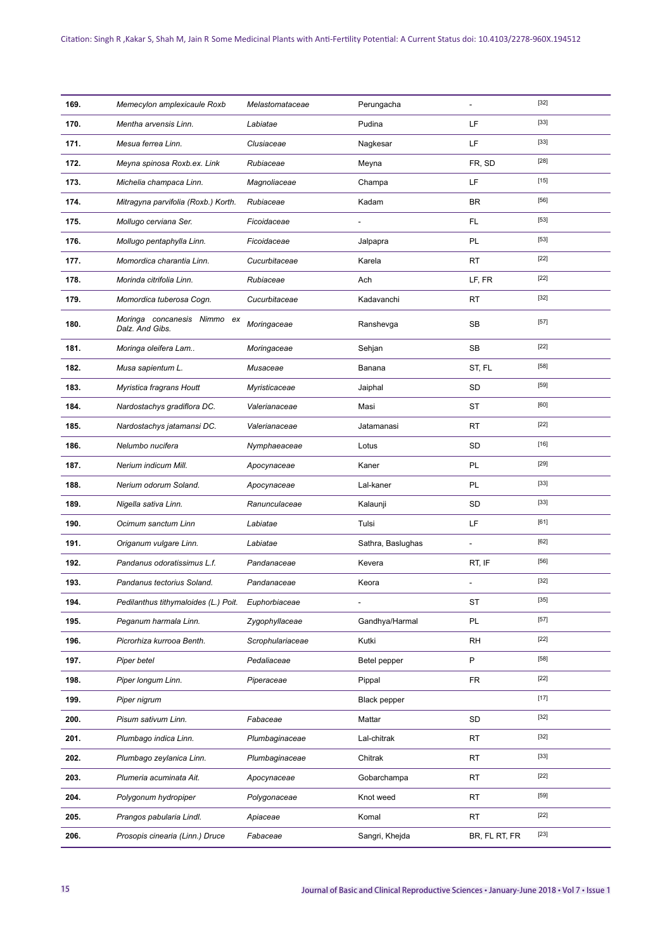| 169. | Memecylon amplexicaule Roxb                    | Melastomataceae  | Perungacha          | $\overline{a}$ | $[32]$ |
|------|------------------------------------------------|------------------|---------------------|----------------|--------|
| 170. | Mentha arvensis Linn.                          | Labiatae         | Pudina              | LF             | $[33]$ |
| 171. | Mesua ferrea Linn.                             | Clusiaceae       | Nagkesar            | LF             | $[33]$ |
| 172. | Meyna spinosa Roxb.ex. Link                    | Rubiaceae        | Meyna               | FR, SD         | $[28]$ |
| 173. | Michelia champaca Linn.                        | Magnoliaceae     | Champa              | LF             | $[15]$ |
| 174. | Mitragyna parvifolia (Roxb.) Korth.            | Rubiaceae        | Kadam               | <b>BR</b>      | $[56]$ |
| 175. | Mollugo cerviana Ser.                          | Ficoidaceae      | $\overline{a}$      | FL.            | $[53]$ |
| 176. | Mollugo pentaphylla Linn.                      | Ficoidaceae      | Jalpapra            | PL             | $[53]$ |
| 177. | Momordica charantia Linn.                      | Cucurbitaceae    | Karela              | <b>RT</b>      | $[22]$ |
| 178. | Morinda citrifolia Linn.                       | Rubiaceae        | Ach                 | LF, FR         | $[22]$ |
| 179. | Momordica tuberosa Cogn.                       | Cucurbitaceae    | Kadavanchi          | RT             | $[32]$ |
| 180. | Moringa concanesis Nimmo ex<br>Dalz. And Gibs. | Moringaceae      | Ranshevga           | SB             | $[57]$ |
| 181. | Moringa oleifera Lam                           | Moringaceae      | Sehjan              | <b>SB</b>      | $[22]$ |
| 182. | Musa sapientum L.                              | Musaceae         | Banana              | ST, FL         | $[58]$ |
| 183. | Myristica fragrans Houtt                       | Myristicaceae    | Jaiphal             | SD             | $[59]$ |
| 184. | Nardostachys gradiflora DC.                    | Valerianaceae    | Masi                | <b>ST</b>      | [60]   |
| 185. | Nardostachys jatamansi DC.                     | Valerianaceae    | Jatamanasi          | <b>RT</b>      | $[22]$ |
| 186. | Nelumbo nucifera                               | Nymphaeaceae     | Lotus               | SD             | $[16]$ |
| 187. | Nerium indicum Mill.                           | Apocynaceae      | Kaner               | PL             | $[29]$ |
| 188. | Nerium odorum Soland.                          | Apocynaceae      | Lal-kaner           | PL             | $[33]$ |
| 189. | Nigella sativa Linn.                           | Ranunculaceae    | Kalaunji            | SD             | $[33]$ |
| 190. | Ocimum sanctum Linn                            | Labiatae         | Tulsi               | LF             | $[61]$ |
| 191. | Origanum vulgare Linn.                         | Labiatae         | Sathra, Baslughas   | $\overline{a}$ | [62]   |
| 192. | Pandanus odoratissimus L.f.                    | Pandanaceae      | Kevera              | RT, IF         | $[56]$ |
| 193. | Pandanus tectorius Soland.                     | Pandanaceae      | Keora               |                | $[32]$ |
| 194. | Pedilanthus tithymaloides (L.) Poit.           | Euphorbiaceae    |                     | ST             | [35]   |
| 195. | Peganum harmala Linn.                          | Zygophyllaceae   | Gandhya/Harmal      | PL             | $[57]$ |
| 196. | Picrorhiza kurrooa Benth.                      | Scrophulariaceae | Kutki               | <b>RH</b>      | $[22]$ |
| 197. | Piper betel                                    | Pedaliaceae      | Betel pepper        | P              | $[58]$ |
| 198. | Piper longum Linn.                             | Piperaceae       | Pippal              | <b>FR</b>      | $[22]$ |
| 199. | Piper nigrum                                   |                  | <b>Black pepper</b> |                | $[17]$ |
| 200. | Pisum sativum Linn.                            | Fabaceae         | Mattar              | SD             | $[32]$ |
| 201. | Plumbago indica Linn.                          | Plumbaginaceae   | Lal-chitrak         | RT             | $[32]$ |
| 202. | Plumbago zeylanica Linn.                       | Plumbaginaceae   | Chitrak             | <b>RT</b>      | $[33]$ |
| 203. | Plumeria acuminata Ait.                        | Apocynaceae      | Gobarchampa         | RT             | $[22]$ |
| 204. | Polygonum hydropiper                           | Polygonaceae     | Knot weed           | <b>RT</b>      | $[59]$ |
| 205. | Prangos pabularia Lindl.                       | Apiaceae         | Komal               | <b>RT</b>      | $[22]$ |
| 206. | Prosopis cinearia (Linn.) Druce                | Fabaceae         | Sangri, Khejda      | BR, FL RT, FR  | $[23]$ |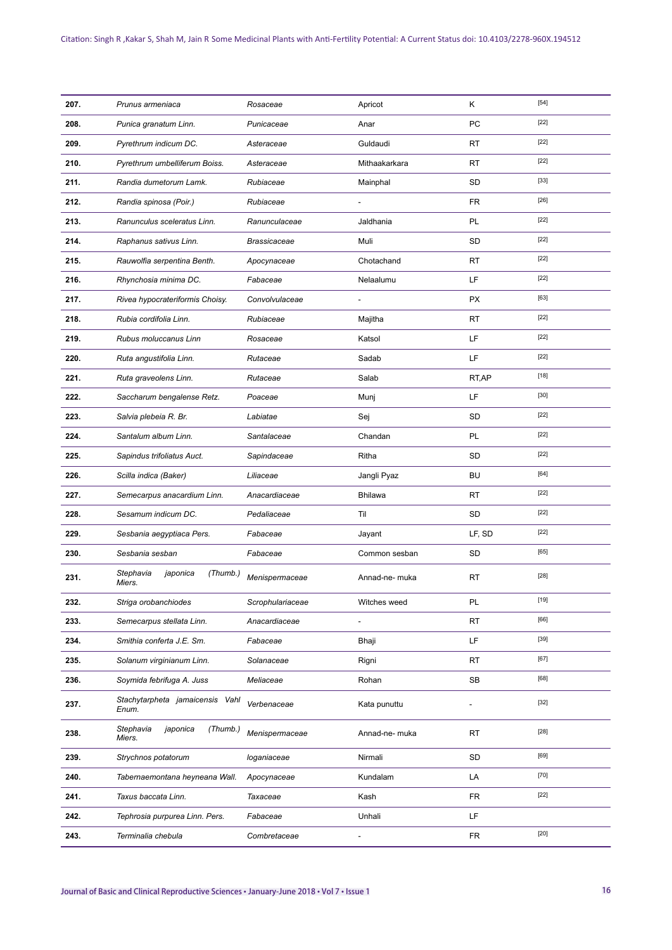| 207. | Prunus armeniaca                            | Rosaceae         | Apricot        | Κ          | $[54]$ |
|------|---------------------------------------------|------------------|----------------|------------|--------|
| 208. | Punica granatum Linn.                       | Punicaceae       | Anar           | PC         | $[22]$ |
| 209. | Pyrethrum indicum DC.                       | Asteraceae       | Guldaudi       | RT         | $[22]$ |
| 210. | Pyrethrum umbelliferum Boiss.               | Asteraceae       | Mithaakarkara  | RT         | $[22]$ |
| 211. | Randia dumetorum Lamk.                      | Rubiaceae        | Mainphal       | <b>SD</b>  | $[33]$ |
| 212. | Randia spinosa (Poir.)                      | Rubiaceae        | $\overline{a}$ | <b>FR</b>  | $[26]$ |
| 213. | Ranunculus sceleratus Linn.                 | Ranunculaceae    | Jaldhania      | PL         | $[22]$ |
| 214. | Raphanus sativus Linn.                      | Brassicaceae     | Muli           | <b>SD</b>  | $[22]$ |
| 215. | Rauwolfia serpentina Benth.                 | Apocynaceae      | Chotachand     | RT         | $[22]$ |
| 216. | Rhynchosia minima DC.                       | Fabaceae         | Nelaalumu      | LF         | $[22]$ |
| 217. | Rivea hypocrateriformis Choisy.             | Convolvulaceae   | $\overline{a}$ | <b>PX</b>  | $[63]$ |
| 218. | Rubia cordifolia Linn.                      | Rubiaceae        | Majitha        | <b>RT</b>  | $[22]$ |
| 219. | Rubus moluccanus Linn                       | Rosaceae         | Katsol         | LF         | $[22]$ |
| 220. | Ruta angustifolia Linn.                     | Rutaceae         | Sadab          | LF         | $[22]$ |
| 221. | Ruta graveolens Linn.                       | Rutaceae         | Salab          | RT, AP     | $[18]$ |
| 222. | Saccharum bengalense Retz.                  | Poaceae          | Munj           | LF         | $[30]$ |
| 223. | Salvia plebeia R. Br.                       | Labiatae         | Sej            | <b>SD</b>  | $[22]$ |
| 224. | Santalum album Linn.                        | Santalaceae      | Chandan        | PL         | $[22]$ |
| 225. | Sapindus trifoliatus Auct.                  | Sapindaceae      | Ritha          | SD         | $[22]$ |
| 226. | Scilla indica (Baker)                       | Liliaceae        | Jangli Pyaz    | BU         | $[64]$ |
| 227. | Semecarpus anacardium Linn.                 | Anacardiaceae    | Bhilawa        | <b>RT</b>  | $[22]$ |
| 228. | Sesamum indicum DC.                         | Pedaliaceae      | Til            | SD         | $[22]$ |
| 229. | Sesbania aegyptiaca Pers.                   | Fabaceae         | Jayant         | LF, SD     | $[22]$ |
| 230. | Sesbania sesban                             | Fabaceae         | Common sesban  | SD         | $[65]$ |
| 231. | Stephavia<br>(Thumb.)<br>japonica<br>Miers. | Menispermaceae   | Annad-ne- muka | <b>RT</b>  | $[28]$ |
| 232. | Striga orobanchiodes                        | Scrophulariaceae | Witches weed   | PL         | $[19]$ |
| 233. | Semecarpus stellata Linn.                   | Anacardiaceae    | $\overline{a}$ | RT         | [66]   |
| 234. | Smithia conferta J.E. Sm.                   | Fabaceae         | Bhaji          | LF         | $[39]$ |
| 235. | Solanum virginianum Linn.                   | Solanaceae       | Rigni          | RT         | $[67]$ |
| 236. | Soymida febrifuga A. Juss                   | Meliaceae        | Rohan          | SB         | [68]   |
| 237. | Stachytarpheta jamaicensis Vahl<br>Enum.    | Verbenaceae      | Kata punuttu   |            | $[32]$ |
| 238. | Stephavia<br>japonica<br>(Thumb.)<br>Miers. | Menispermaceae   | Annad-ne- muka | <b>RT</b>  | $[28]$ |
| 239. | Strychnos potatorum                         | loganiaceae      | Nirmali        | SD         | $[69]$ |
| 240. | Tabernaemontana heyneana Wall.              | Apocynaceae      | Kundalam       | LA         | $[70]$ |
| 241. | Taxus baccata Linn.                         | Taxaceae         | Kash           | <b>FR</b>  | $[22]$ |
| 242. | Tephrosia purpurea Linn. Pers.              | Fabaceae         | Unhali         | LF         |        |
| 243. | Terminalia chebula                          | Combretaceae     | $\overline{a}$ | ${\sf FR}$ | $[20]$ |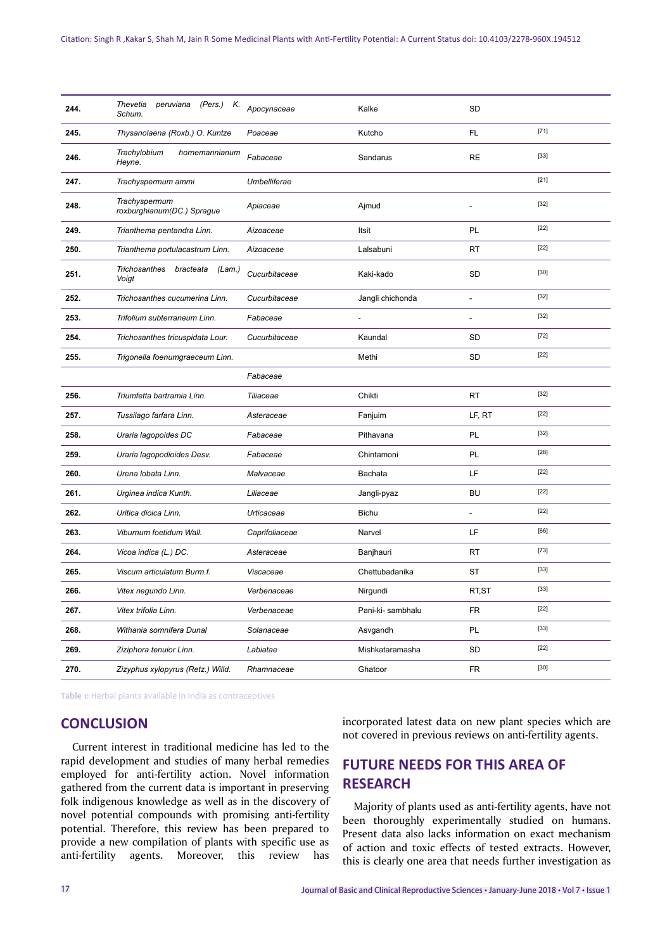| 244. | Thevetia<br>peruviana<br>Schum.                      | (Pers.) K. Apocynaceae | Kalke                    | <b>SD</b> |        |
|------|------------------------------------------------------|------------------------|--------------------------|-----------|--------|
| 245. | Thysanolaena (Roxb.) O. Kuntze                       | Poaceae                | Kutcho                   | FL        | $[71]$ |
| 246. | Trachylobium<br>hornemannianum<br>Heyne.             | Fabaceae               | Sandarus                 | <b>RE</b> | $[33]$ |
| 247. | Trachyspermum ammi                                   | Umbelliferae           |                          |           | $[21]$ |
| 248. | Trachyspermum<br>roxburghianum(DC.) Sprague          | Apiaceae               | Ajmud                    |           | $[32]$ |
| 249. | Trianthema pentandra Linn.                           | Aizoaceae              | Itsit                    | PL        | $[22]$ |
| 250. | Trianthema portulacastrum Linn.                      | Aizoaceae              | Lalsabuni                | <b>RT</b> | $[22]$ |
| 251. | <b>Trichosanthes</b><br>bracteata<br>(Lam.)<br>Voigt | Cucurbitaceae          | Kaki-kado                | <b>SD</b> | $[30]$ |
| 252. | Trichosanthes cucumerina Linn.                       | Cucurbitaceae          | Jangli chichonda         | L.        | $[32]$ |
| 253. | Trifolium subterraneum Linn.                         | Fabaceae               | $\overline{\phantom{a}}$ | L.        | $[32]$ |
| 254. | Trichosanthes tricuspidata Lour.                     | Cucurbitaceae          | Kaundal                  | <b>SD</b> | $[72]$ |
| 255. | Trigonella foenumgraeceum Linn.                      |                        | Methi                    | SD        | $[22]$ |
|      |                                                      | Fabaceae               |                          |           |        |
| 256. | Triumfetta bartramia Linn.                           | Tiliaceae              | Chikti                   | <b>RT</b> | $[32]$ |
| 257. | Tussilago farfara Linn.                              | Asteraceae             | Fanjuim                  | LF, RT    | $[22]$ |
| 258. | Uraria lagopoides DC                                 | Fabaceae               | Pithavana                | PL        | $[32]$ |
| 259. | Uraria lagopodioides Desv.                           | Fabaceae               | Chintamoni               | PL        | $[28]$ |
| 260. | Urena lobata Linn.                                   | Malvaceae              | Bachata                  | LF        | $[22]$ |
| 261. | Urginea indica Kunth.                                | Liliaceae              | Jangli-pyaz              | <b>BU</b> | $[22]$ |
| 262. | Uritica dioica Linn.                                 | Urticaceae             | <b>Bichu</b>             | ÷.        | $[22]$ |
| 263. | Viburnum foetidum Wall.                              | Caprifoliaceae         | Narvel                   | LF        | [66]   |
| 264. | Vicoa indica (L.) DC.                                | Asteraceae             | Banjhauri                | <b>RT</b> | $[73]$ |
| 265. | Viscum articulatum Burm.f.                           | Viscaceae              | Chettubadanika           | <b>ST</b> | $[33]$ |
| 266. | Vitex negundo Linn.                                  | Verbenaceae            | Nirgundi                 | RT, ST    | $[33]$ |
| 267. | Vitex trifolia Linn.                                 | Verbenaceae            | Pani-ki- sambhalu        | <b>FR</b> | $[22]$ |
| 268. | Withania somnifera Dunal                             | Solanaceae             | Asvgandh                 | PL        | $[33]$ |
| 269. | Ziziphora tenuior Linn.                              | Labiatae               | Mishkataramasha          | SD        | $[22]$ |
| 270. | Zizyphus xylopyrus (Retz.) Willd.                    | Rhamnaceae             | Ghatoor                  | <b>FR</b> | $[30]$ |

**Table 1:** Herbal plants available in India as contraceptives

# **CONCLUSION**

Current interest in traditional medicine has led to the rapid development and studies of many herbal remedies employed for anti-fertility action. Novel information gathered from the current data is important in preserving folk indigenous knowledge as well as in the discovery of novel potential compounds with promising anti-fertility potential. Therefore, this review has been prepared to provide a new compilation of plants with specific use as anti-fertility agents. Moreover, this review has

incorporated latest data on new plant species which are not covered in previous reviews on anti-fertility agents.

# **FUTURE NEEDS FOR THIS AREA OF RESEARCH**

Majority of plants used as anti-fertility agents, have not been thoroughly experimentally studied on humans. Present data also lacks information on exact mechanism of action and toxic effects of tested extracts. However, this is clearly one area that needs further investigation as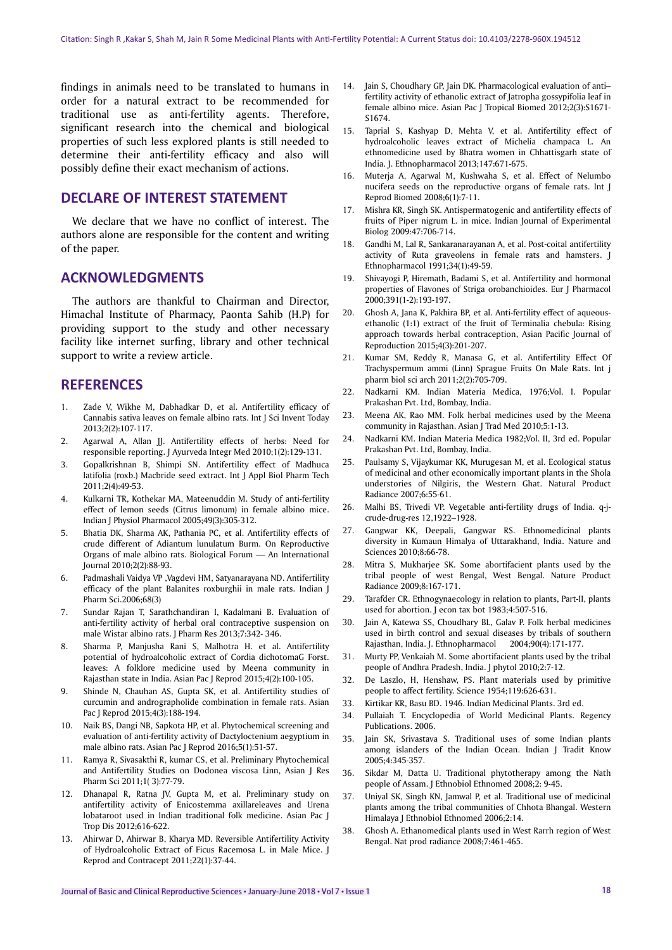findings in animals need to be translated to humans in order for a natural extract to be recommended for traditional use as anti-fertility agents. Therefore, significant research into the chemical and biological properties of such less explored plants is still needed to determine their anti-fertility efficacy and also will possibly define their exact mechanism of actions.

# **DECLARE OF INTEREST STATEMENT**

We declare that we have no conflict of interest. The authors alone are responsible for the content and writing of the paper.

# **ACKNOWLEDGMENTS**

The authors are thankful to Chairman and Director, Himachal Institute of Pharmacy, Paonta Sahib (H.P) for providing support to the study and other necessary facility like internet surfing, library and other technical support to write a review article.

# **REFERENCES**

- 1. Zade V, Wikhe M, Dabhadkar D, et al. Antifertility efficacy of Cannabis sativa leaves on female albino rats. Int J Sci Invent Today 2013;2(2):107-117.
- 2. Agarwal A, Allan JJ. Antifertility effects of herbs: Need for responsible reporting. J Ayurveda Integr Med 2010;1(2):129-131.
- 3. Gopalkrishnan B, Shimpi SN. Antifertility effect of Madhuca latifolia (roxb.) Macbride seed extract. Int J Appl Biol Pharm Tech 2011;2(4):49-53.
- 4. Kulkarni TR, Kothekar MA, Mateenuddin M. Study of anti-fertility effect of lemon seeds (Citrus limonum) in female albino mice. Indian J Physiol Pharmacol 2005;49(3):305-312.
- 5. Bhatia DK, Sharma AK, Pathania PC, et al. Antifertility effects of crude different of Adiantum lunulatum Burm. On Reproductive Organs of male albino rats. Biological Forum — An International Journal 2010;2(2):88-93.
- 6. Padmashali Vaidya VP ,Vagdevi HM, Satyanarayana ND. Antifertility efficacy of the plant Balanites roxburghii in male rats. Indian J Pharm Sci.2006;68(3)
- 7. Sundar Rajan T, Sarathchandiran I, Kadalmani B. Evaluation of anti-fertility activity of herbal oral contraceptive suspension on male Wistar albino rats. J Pharm Res 2013;7:342- 346.
- 8. Sharma P, Manjusha Rani S, Malhotra H. et al. Antifertility potential of hydroalcoholic extract of Cordia dichotomaG Forst. leaves: A folklore medicine used by Meena community in Rajasthan state in India. Asian Pac J Reprod 2015;4(2):100-105.
- 9. Shinde N, Chauhan AS, Gupta SK, et al. Antifertility studies of curcumin and andrographolide combination in female rats. Asian Pac J Reprod 2015;4(3):188-194.
- 10. Naik BS, Dangi NB, Sapkota HP, et al. Phytochemical screening and evaluation of anti-fertility activity of Dactyloctenium aegyptium in male albino rats. Asian Pac J Reprod 2016;5(1):51-57.
- 11. Ramya R, Sivasakthi R, kumar CS, et al. Preliminary Phytochemical and Antifertility Studies on Dodonea viscosa Linn, Asian J Res Pharm Sci 2011;1( 3):77-79.
- 12. Dhanapal R, Ratna JV, Gupta M, et al. Preliminary study on antifertility activity of Enicostemma axillareleaves and Urena lobataroot used in Indian traditional folk medicine. Asian Pac J Trop Dis 2012;616-622.
- 13. Ahirwar D, Ahirwar B, Kharya MD. Reversible Antifertility Activity of Hydroalcoholic Extract of Ficus Racemosa L. in Male Mice. J Reprod and Contracept 2011;22(1):37-44.
- 14. Jain S, Choudhary GP, Jain DK. Pharmacological evaluation of anti– fertility activity of ethanolic extract of Jatropha gossypifolia leaf in female albino mice. Asian Pac J Tropical Biomed 2012;2(3):S1671- S1674.
- 15. Taprial S, Kashyap D, Mehta V, et al. Antifertility effect of hydroalcoholic leaves extract of Michelia champaca L. An ethnomedicine used by Bhatra women in Chhattisgarh state of India. J. Ethnopharmacol 2013;147:671-675.
- 16. Muterja A, Agarwal M, Kushwaha S, et al. Effect of Nelumbo nucifera seeds on the reproductive organs of female rats. Int J Reprod Biomed 2008;6(1):7-11.
- 17. Mishra KR, Singh SK. Antispermatogenic and antifertility effects of fruits of Piper nigrum L. in mice. Indian Journal of Experimental Biolog 2009:47:706-714.
- 18. Gandhi M, Lal R, Sankaranarayanan A, et al. Post-coital antifertility activity of Ruta graveolens in female rats and hamsters. J Ethnopharmacol 1991;34(1):49-59.
- 19. Shivayogi P, Hiremath, Badami S, et al. Antifertility and hormonal properties of Flavones of Striga orobanchioides. Eur J Pharmacol 2000;391(1-2):193-197.
- 20. Ghosh A, Jana K, Pakhira BP, et al. Anti-fertility effect of aqueousethanolic (1:1) extract of the fruit of Terminalia chebula: Rising approach towards herbal contraception, Asian Pacific Journal of Reproduction 2015;4(3):201-207.
- 21. Kumar SM, Reddy R, Manasa G, et al. Antifertility Effect Of Trachyspermum ammi (Linn) Sprague Fruits On Male Rats. Int j pharm biol sci arch 2011;2(2):705-709.
- 22. Nadkarni KM. Indian Materia Medica, 1976;Vol. I. Popular Prakashan Pvt. Ltd, Bombay, India.
- 23. Meena AK, Rao MM. Folk herbal medicines used by the Meena community in Rajasthan. Asian J Trad Med 2010;5:1-13.
- 24. Nadkarni KM. Indian Materia Medica 1982;Vol. II, 3rd ed. Popular Prakashan Pvt. Ltd, Bombay, India.
- 25. Paulsamy S, Vijaykumar KK, Murugesan M, et al. Ecological status of medicinal and other economically important plants in the Shola understories of Nilgiris, the Western Ghat. Natural Product Radiance 2007;6:55-61.
- 26. Malhi BS, Trivedi VP. Vegetable anti-fertility drugs of India. q-jcrude-drug-res 12,1922–1928.
- 27. Gangwar KK, Deepali, Gangwar RS. Ethnomedicinal plants diversity in Kumaun Himalya of Uttarakhand, India. Nature and Sciences 2010;8:66-78.
- 28. Mitra S, Mukharjee SK. Some abortifacient plants used by the tribal people of west Bengal, West Bengal. Nature Product Radiance 2009;8:167-171.
- 29. Tarafder CR. Ethnogynaecology in relation to plants, Part-II, plants used for abortion. J econ tax bot 1983;4:507-516.
- 30. Jain A, Katewa SS, Choudhary BL, Galav P. Folk herbal medicines used in birth control and sexual diseases by tribals of southern Rajasthan, India. J. Ethnopharmacol 2004;90(4):171-177.
- 31. Murty PP, Venkaiah M. Some abortifacient plants used by the tribal people of Andhra Pradesh, India. J phytol 2010;2:7-12.
- 32. De Laszlo, H, Henshaw, PS. Plant materials used by primitive people to affect fertility. Science 1954;119:626-631.
- 33. Kirtikar KR, Basu BD. 1946. Indian Medicinal Plants. 3rd ed.
- 34. Pullaiah T. Encyclopedia of World Medicinal Plants. Regency Publications. 2006.
- 35. Jain SK, Srivastava S. Traditional uses of some Indian plants among islanders of the Indian Ocean. Indian J Tradit Know 2005;4:345-357.
- 36. Sikdar M, Datta U. Traditional phytotherapy among the Nath people of Assam. J Ethnobiol Ethnomed 2008;2: 9-45.
- 37. Uniyal SK, Singh KN, Jamwal P, et al. Traditional use of medicinal plants among the tribal communities of Chhota Bhangal. Western Himalaya J Ethnobiol Ethnomed 2006;2:14.
- 38. Ghosh A. Ethanomedical plants used in West Rarrh region of West Bengal. Nat prod radiance 2008;7:461-465.